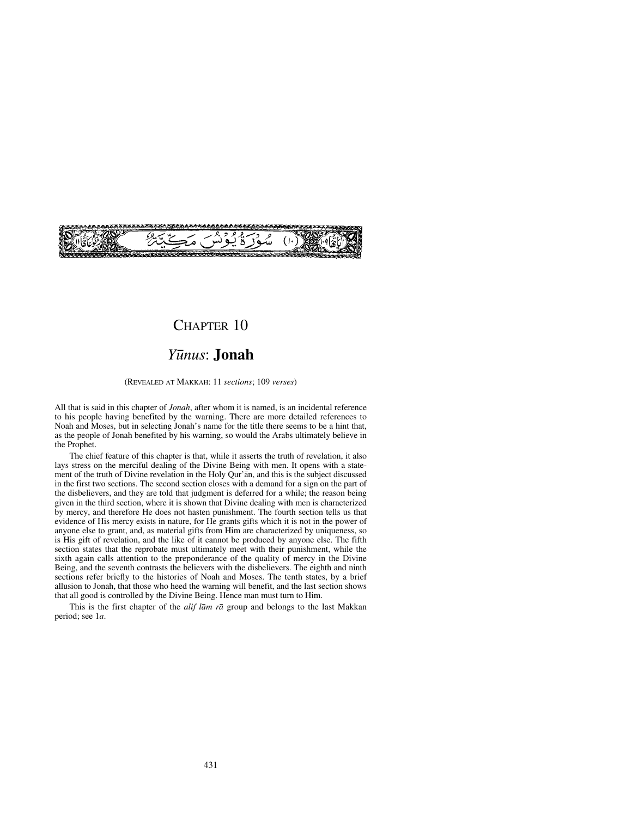# CHAPTER 10

**Transference** 

## *Y∂nus*: **Jonah**

(REVEALED AT MAKKAH: 11 *sections*; 109 *verses*)

All that is said in this chapter of *Jonah*, after whom it is named, is an incidental reference to his people having benefited by the warning. There are more detailed references to Noah and Moses, but in selecting Jonah's name for the title there seems to be a hint that, as the people of Jonah benefited by his warning, so would the Arabs ultimately believe in the Prophet.

The chief feature of this chapter is that, while it asserts the truth of revelation, it also lays stress on the merciful dealing of the Divine Being with men. It opens with a statement of the truth of Divine revelation in the Holy Qur'ån, and this is the subject discussed in the first two sections. The second section closes with a demand for a sign on the part of the disbelievers, and they are told that judgment is deferred for a while; the reason being given in the third section, where it is shown that Divine dealing with men is characterized by mercy, and therefore He does not hasten punishment. The fourth section tells us that evidence of His mercy exists in nature, for He grants gifts which it is not in the power of anyone else to grant, and, as material gifts from Him are characterized by uniqueness, so is His gift of revelation, and the like of it cannot be produced by anyone else. The fifth section states that the reprobate must ultimately meet with their punishment, while the sixth again calls attention to the preponderance of the quality of mercy in the Divine Being, and the seventh contrasts the believers with the disbelievers. The eighth and ninth sections refer briefly to the histories of Noah and Moses. The tenth states, by a brief allusion to Jonah, that those who heed the warning will benefit, and the last section shows that all good is controlled by the Divine Being. Hence man must turn to Him.

This is the first chapter of the *alif låm rå* group and belongs to the last Makkan period; see 1*a*.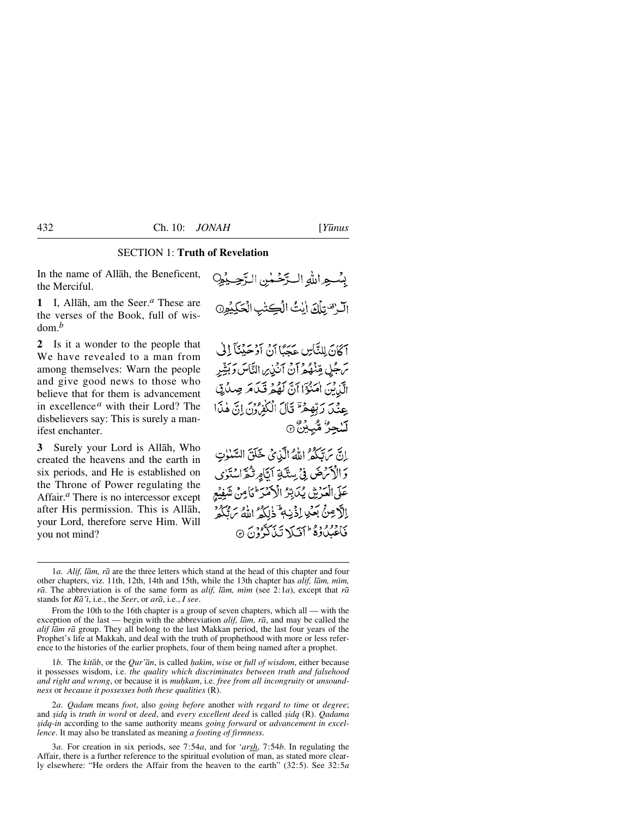## SECTION 1: **Truth of Revelation**

In the name of Allåh, the Beneficent, the Merciful.

**1** I, Allåh, am the Seer.*<sup>a</sup>* These are the verses of the Book, full of wisdom.*<sup>b</sup>*

**2** Is it a wonder to the people that We have revealed to a man from among themselves: Warn the people and give good news to those who believe that for them is advancement in excellence *<sup>a</sup>* with their Lord? The disbelievers say: This is surely a manifest enchanter.

**3** Surely your Lord is Allåh, Who created the heavens and the earth in six periods, and He is established on the Throne of Power regulating the Affair.*<sup>a</sup>* There is no intercessor except after His permission. This is Allåh, your Lord, therefore serve Him. Will you not mind?

بِسْعِ اللَّهِ الْتَرْضَىٰنِ الرَّحِيْهِِ الرحَّ تِلْكَ ايْتُ الْكِتْبِ الْكَلِيْوِنَ

آكَانَ لِلنَّاسِ عَجَبًا أَنْ أَدْحَيْنَآ إِلَى سَ جُلِ مِّنْهُ هُمْ آنُ آنُذِيں النَّاسَ وَبَثِيْبِهِ الَّذِينَ اٰمَنُوۡٓٓا اَنَّ لَهُمۡ قَيۡلَٰهَ صِدۡلَٰٓتِی عِنْدَ رَبِّهِمْ ۚ قَالَ الْكُفِّ وَلَ إِنَّ هٰذَا لَسْجِرٌ مُّبَيِّنٌ ۞

إِنَّ بِالْكُثَرُ اللَّهُ الَّذِينُ خَلَقَ السَّنْوٰتِ وَالْأَمْرَضَ فِي سِتَّةِ أَيَّامِ تُمَّ اسْتَوْى عَلَى الْعَرْشِ يُدَبِّرُ الْإِحْمَرَ لِمَامِنْ شَفِيْعِ الْأَصِنِّي بَعْدِ إِذْنِي ۖ ذٰلِكُمُ اللَّهُ سَنَّكُمْ فَأَعْبَادُوهُ ۖ أَفَيَلَا تَبِذَكَرُوْنَ ۞

1*b*. The *kitab*, or the *Qur'an*, is called *hakim*, *wise* or *full of wisdom*, either because it possesses wisdom, i.e. *the quality which discriminates between truth and falsehood* and right and wrong, or because it is muhkam, i.e. free from all incongruity or unsound*ness* or *because it possesses both these qualities* (R).

2*a*. *Qadam* means *foot*, also *going before* another *with regard to time* or *degree*; and *©idq* is *truth in word* or *deed*, and *every excellent deed* is called *©idq* (R). *Qadama ©idq-in* according to the same authority means *going forward* or *advancement in excellence*. It may also be translated as meaning *a footing of firmness*.

3*a*. For creation in six periods, see 7:54*a*, and for '*arsh*, 7:54*b*. In regulating the Affair, there is a further reference to the spiritual evolution of man, as stated more clearly elsewhere: "He orders the Affair from the heaven to the earth" (32:5). See 32:5*a*

<sup>1</sup>*a*. *Alif, låm, rå* are the three letters which stand at the head of this chapter and four other chapters, viz. 11th, 12th, 14th and 15th, while the 13th chapter has *alif, låm, mßm,*  $r\bar{a}$ . The abbreviation is of the same form as *alif, lām, mim* (see 2:1*a*), except that  $r\bar{a}$ stands for *Rå'ß*, i.e., the *Seer*, or *arå*, i.e., *I see*.

From the 10th to the 16th chapter is a group of seven chapters, which all — with the exception of the last — begin with the abbreviation *alif, låm, rå*, and may be called the *alif låm rå* group. They all belong to the last Makkan period, the last four years of the Prophet's life at Makkah, and deal with the truth of prophethood with more or less reference to the histories of the earlier prophets, four of them being named after a prophet.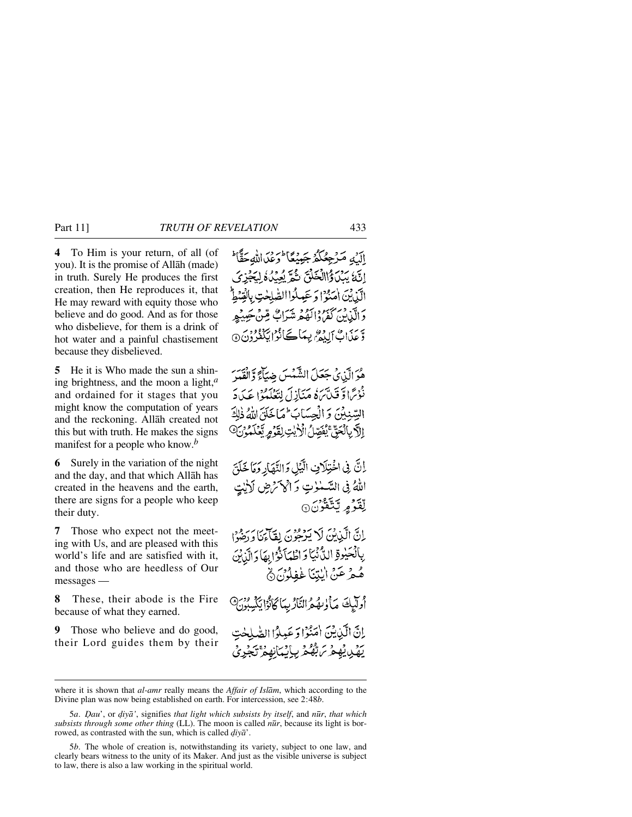**4** To Him is your return, of all (of you). It is the promise of Allåh (made) in truth. Surely He produces the first creation, then He reproduces it, that He may reward with equity those who believe and do good. And as for those who disbelieve, for them is a drink of hot water and a painful chastisement because they disbelieved.

**5** He it is Who made the sun a shining brightness, and the moon a light,*<sup>a</sup>* and ordained for it stages that you might know the computation of years and the reckoning. Allåh created not this but with truth. He makes the signs manifest for a people who know.*<sup>b</sup>*

**6** Surely in the variation of the night and the day, and that which Allåh has created in the heavens and the earth, there are signs for a people who keep their duty.

**7** Those who expect not the meeting with Us, and are pleased with this world's life and are satisfied with it, and those who are heedless of Our messages —

**8** These, their abode is the Fire because of what they earned.

**9** Those who believe and do good, their Lord guides them by their

اآرُهِ مَرْجِعُكُمُ جَينِيْكَا فَرَيْنَ اللَّهِ حَقًّا فَلَ إِنَّهُا مَدْيَاةُ الْخَلْقَ نَثُمَّ يُعِيدُهُ لَيَجْزِئ الّذينَ امَنْهُ! وَ عَبِيلُوا الصّٰلِحٰتِ بِالْ وَالَّذِينَ كَفَرٌدُ وَالْعُفْرِ مِتَيَوَابٌ مِّنْ يَجِيبُهِرِ وَّ عَذَابٌ إِلِيْمٌ بِيِمَاكَ نُوْا يَكْفُرُونَ۞

هُوَ الَّذِي جَعَلَ الشَّمْسَ ضِيَاءً وَّالْقَيِيرَ نْعْرَمَا وَّ فَيَدَّبَرَهُ مَنَأِزِلَ لِتَعْلَمُوْا عَيَادَ السِّنِبِينَ وَالْحِسَابِ لِحَمَاخَلَقَ اللَّهُ ذٰلِكَ إِلَّ بِالْحَقَّ يُفَصِّلُ الْأَيْتِ لِقَوْمٍ يَّعْلَمُوْنَ @

إِنَّ فِي اخْتِلَافٍ الَّيْلِ وَالنَّهَارِ وَمَا خَلَقَ اللهُ فِي السَّمْلُوتِ وَأَكْرَمْضِ لَأَيْتٍ لِّقَوْمِ تَتَّقُونَ۞

اِنَّ الَّذِيْنَ لَا يَرْجُوْنَ لِقَائِنَا وَرَضُوْا بِالْحَيْدِةِ الدُّنْيَا دَ اطْهَاَنَّوْا بِهَا دَ الَّذِيْنَ هُمْرٌ عَنْ اٰلِنِّنَا غُفِلُوْنَ۞

أُولَيْكَ مَأْلِسُهُ النَّارُيِّمَا كَانُوْا يَكْسِبُونَ @

إِنَّ الَّيْبِينَ اٰمَنُوۡا وَ عَبِيلُوۡا الصَّٰ يَهْدِيْهِمْ بَرَّبُّهُمْ بِإِيْبَانِهِمْ تَجْرِ

where it is shown that *al-amr* really means the *Affair of Islåm*, which according to the Divine plan was now being established on earth. For intercession, see 2:48*b*.

<sup>5</sup>*a*. *Óau*', or *˙iyå'*, signifies *that light which subsists by itself*, and *n∂r*, *that which subsists through some other thing* (LL). The moon is called *nūr*, because its light is borrowed, as contrasted with the sun, which is called  $div\vec{a}$ .

<sup>5</sup>*b*. The whole of creation is, notwithstanding its variety, subject to one law, and clearly bears witness to the unity of its Maker. And just as the visible universe is subject to law, there is also a law working in the spiritual world.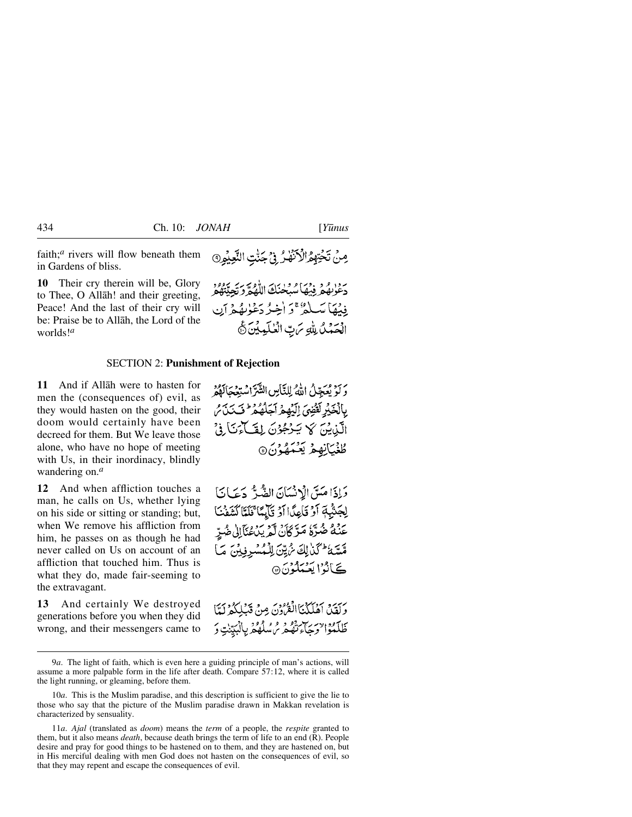faith;<sup>*a*</sup> rivers will flow beneath them in Gardens of bliss.

**10** Their cry therein will be, Glory to Thee, O Allåh! and their greeting, Peace! And the last of their cry will be: Praise be to Allåh, the Lord of the worlds!*<sup>a</sup>*

**11** And if Allåh were to hasten for men the (consequences of) evil, as they would hasten on the good, their doom would certainly have been decreed for them. But We leave those alone, who have no hope of meeting with Us, in their inordinacy, blindly wandering on.*<sup>a</sup>*

**12** And when affliction touches a man, he calls on Us, whether lying on his side or sitting or standing; but, when We remove his affliction from him, he passes on as though he had never called on Us on account of an affliction that touched him. Thus is what they do, made fair-seeming to the extravagant.

**13** And certainly We destroyed generations before you when they did wrong, and their messengers came to مِنْ تَخْتِهِمُّ الْأَنْهَٰدُ فِي جَنَّتِ النَّعِيْمِ۞

رَّمْ الْمُؤْفِيْهَا سُبُخْنَكَ اللَّهُمَّ وَتَعِيَّتُهُمْ فِينُهَا مَسَلَّةٌ ۚ وَ أَخِيرُ دَعْوٰنِهُمْ آنِ الْحَمْنُ لِلَّهِ مَنِّ الْعٰلَمِيْنَ ثَ

# SECTION 2: **Punishment of Rejection**

وَلَوْ يُعَجِّلُ اللَّهُ لِلنَّاسِ الشَّرَّاسْتِعْجَالَهُمُ بِالْخَيْرِ لَقَضِيَ إِلَيْهِمْ آجَلُهُمْ فَتَنَذَى الَّذِيْنَ كَا يَنْكُونَ لِقَيَاءَنَا فِيَ ڟۼٛۑ<u>ٵ</u>ڹۿٷؙؽؘ۞

وَإِذَا مَيَنَ الْإِنْسَانَ الضَّيُّ دَعَيَانَا لِجَنْبِهِ أَوْ قَاعِدًا أَوْ قَائِمًا ۚ نَلَمَّا كَشَفْنَا عَنْهُ ضُرَّهُ مَرَّكَانَ لَّمْ يَدُعُنَآالِي ضُدِّ مِّسَّةُ أَكَذَٰلِكَ مُّ يِّنَ لِلْمُسْرِفِينَ مَا <u>بِحَ أَنَّةُ الْعَيْمَانَّةُ</u>نَّ @

وَلَقِينَ أَهْلَكْنَا الْقُرُونَ مِنْ قَبْلِكُمْ لَمَّا طَلْعُوْالْوَجَاءِتْقُو فِي مِسْلُهُمْ بِالْبَيِّنٰتِ وَ

<sup>9</sup>*a*. The light of faith, which is even here a guiding principle of man's actions, will assume a more palpable form in the life after death. Compare 57:12, where it is called the light running, or gleaming, before them.

<sup>10</sup>*a*. This is the Muslim paradise, and this description is sufficient to give the lie to those who say that the picture of the Muslim paradise drawn in Makkan revelation is characterized by sensuality.

<sup>11</sup>*a*. *Ajal* (translated as *doom*) means the *term* of a people, the *respite* granted to them, but it also means *death*, because death brings the term of life to an end (R). People desire and pray for good things to be hastened on to them, and they are hastened on, but in His merciful dealing with men God does not hasten on the consequences of evil, so that they may repent and escape the consequences of evil.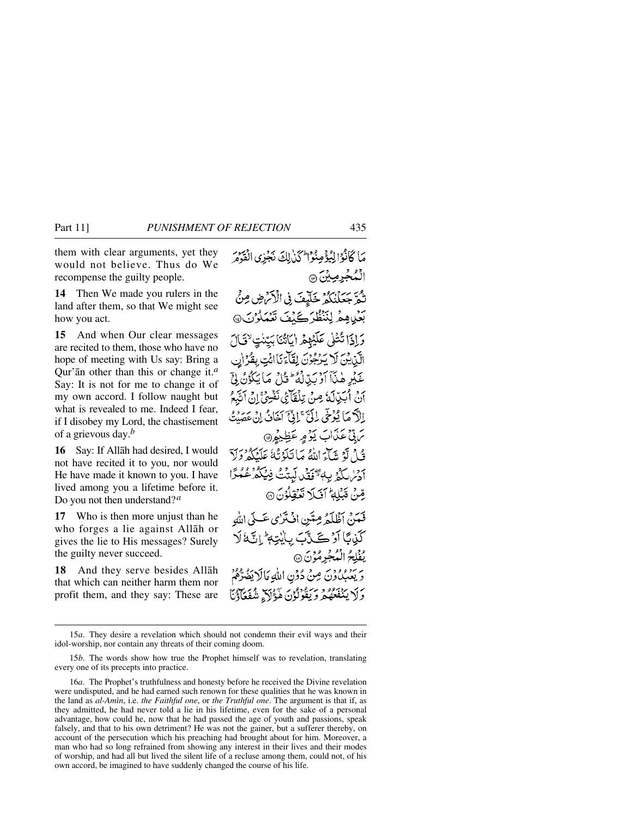them with clear arguments, yet they would not believe. Thus do We recompense the guilty people.

**14** Then We made you rulers in the land after them, so that We might see how you act.

**15** And when Our clear messages are recited to them, those who have no hope of meeting with Us say: Bring a Qur'ån other than this or change it.*<sup>a</sup>* Say: It is not for me to change it of my own accord. I follow naught but what is revealed to me. Indeed I fear, if I disobey my Lord, the chastisement of a grievous day.*<sup>b</sup>*

**16** Say: If Allåh had desired, I would not have recited it to you, nor would He have made it known to you. I have lived among you a lifetime before it. Do you not then understand?*<sup>a</sup>*

**17** Who is then more unjust than he who forges a lie against Allåh or gives the lie to His messages? Surely the guilty never succeed.

**18** And they serve besides Allåh that which can neither harm them nor profit them, and they say: These are

مَا كَانُوْالِيُؤْمِنُوْالِّكَذَٰلِكَ نَجْزِي الْقَوْمَ الْمُجْرِمِيْنَ ۞ تُمَرَّ جَعَلْنُكُمْ خَلَيْفَ فِي الْأَنْرُضِ مِنْ بَعْيِيْهِمْ لِنَنْظُرَ كَيْفَ تَعْمَلُوْنَ @ وَإِذَا تُتْلَى عَلَيْهِمُ ايَاتُنَا بَيِّدْتٍ لِتَمَالَ الَّيْنِ يُنَ لَا يَدْجُوْنَ لِقَاَّءَنَا ائْتِ بِقُرْانِ عَيْرِ هٰذَآ أَوۡ بَيِّالۡهُ ۚ ثَلۡ مَآ يَكُوۡنُ لِيَّ أَنْ أَبَيْدَلَهُ مِنْ تِلْقَائِي نَفْتِيٌّ إِنِّ أَتَّبَعُ اللَّهُ مَا يُؤْخِي إِلَيَّ ۚ إِنَّيَّ آخَانُ إِنْ عَصَبْتُ برق عَذَابَ يَوْمِر عَظِيْمِهِ قُ لَوْ يَآجَ اللَّهُ مَا تَلَوْثُهُ عَلَيْكُمْ دَلَّ أدير لكث بباء يمكن كبتتُ فِيكْدُ عِمْدًا قِنْ قَبْلِهِ ۚ أَفَىلَا نَعْقِلُوْنَ ۞ فَعَدَبْ أَظُلَمُ مِتَيْنِ إِنْ تَمْرُى عَبِيٍّ اللَّهِ كَوْبًا آرُكَ تَآبَ بِايْتِهِ إِنَّةَ لَا يُفْلِحُ الْمُجْرِمُوۡنَ ۞ وَيَعْبُدُوْنَ مِنْ دُوْنِ اللَّهِ مَالَا يَضُرُّهُمْ وَلَا يَنْفَعَهُ قَرْيَةً وَلَوْنَ هَؤَلَا ۚ شُفَعَآؤُنَا

<sup>15</sup>*a*. They desire a revelation which should not condemn their evil ways and their idol-worship, nor contain any threats of their coming doom.

<sup>15</sup>*b*. The words show how true the Prophet himself was to revelation, translating every one of its precepts into practice.

<sup>16</sup>*a*. The Prophet's truthfulness and honesty before he received the Divine revelation were undisputed, and he had earned such renown for these qualities that he was known in the land as *al-Amßn*, i.e. *the Faithful one*, or *the Truthful one*. The argument is that if, as they admitted, he had never told a lie in his lifetime, even for the sake of a personal advantage, how could he, now that he had passed the age of youth and passions, speak falsely, and that to his own detriment? He was not the gainer, but a sufferer thereby, on account of the persecution which his preaching had brought about for him. Moreover, a man who had so long refrained from showing any interest in their lives and their modes of worship, and had all but lived the silent life of a recluse among them, could not, of his own accord, be imagined to have suddenly changed the course of his life.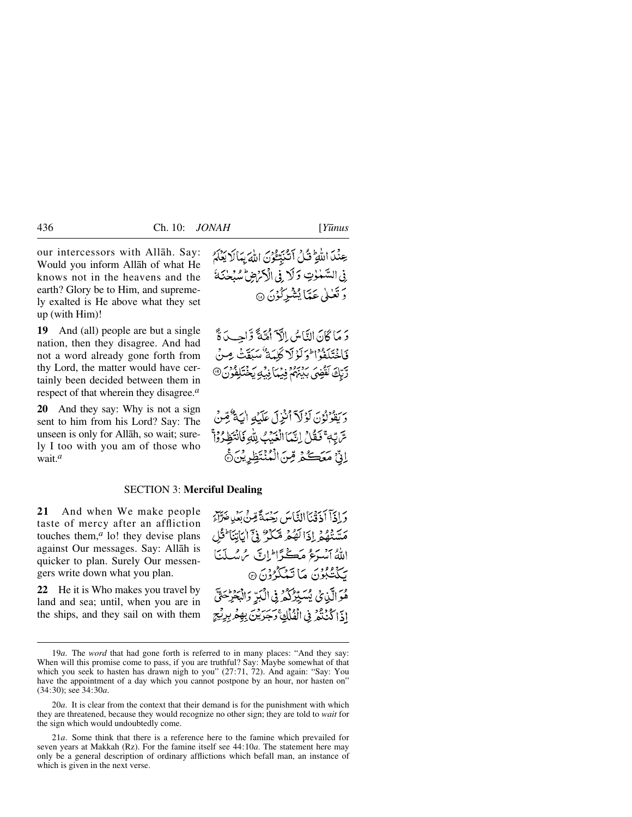our intercessors with Allåh. Say: Would you inform Allåh of what He knows not in the heavens and the earth? Glory be to Him, and supremely exalted is He above what they set up (with Him)!

**19** And (all) people are but a single nation, then they disagree. And had not a word already gone forth from thy Lord, the matter would have certainly been decided between them in respect of that wherein they disagree.*<sup>a</sup>*

**20** And they say: Why is not a sign sent to him from his Lord? Say: The unseen is only for Allåh, so wait; surely I too with you am of those who wait.*<sup>a</sup>*

عِنْدَ اللَّهِ ۚ قُلْ أَتَّنَبِّعُوۡنَ اللَّهَ بِمَالَا يَعۡلَمُ فِي السَّمْلُوتِ وَلَا فِي الْأَكْرَضِ سُبْحٰنَهُ وَ تَعْبٰلُ عَيِّبًا بُشْيَرِكُوْنَ ۞

دَ مَا كَانَ النَّاسُ إِلَّآ أَمَّةً وَّاحِباً ةً فَأَخْتَلَفُوا الْمَرْكَرْ لَا كَلَّمَةٌ مُبَيِّقٌ مِينٌ رَّبِّكَ لَقَضِيَ بَيْنَهُمْ فِيْمَا فِيْهِ يَخْتَلِفُونَ ®

رَبِيْنُوْنُونَ لَوْلَآ أُنْزِلَ عَلَيۡهِ أَيَةٌ مُّونَىٰ سِّ تِّهِ ۖ فَعَلْهُ إِنَّهَا الْغَدَبُ لِلَّهِ فَانْتَظِيرُواْ إِنِّ مَعَكُمُ مِّنَ الْمُنْتَظِرِيْنَ۞

### SECTION 3: **Merciful Dealing**

**21** And when We make people taste of mercy after an affliction touches them, $a$  lo! they devise plans against Our messages. Say: Allåh is quicker to plan. Surely Our messengers write down what you plan.

**22** He it is Who makes you travel by land and sea; until, when you are in the ships, and they sail on with them وَإِذَآ أَذَقَنَاۤ الدَّاسَ رَحْمَةً مِّنۡ بَعۡدِهِ هَرَّآءَ مَسَّنَّهُمُ إِذَا لَهُمْ مَّكَرُّ فِيَّ اٰيَاتِنَا ۚ ثَلِ اللَّهُ ٱنْسَرَعُ مَكْرًا ۖ إِنَّ مُ سُلَّمَا يَكْتُبُونَ مَا تَمْكُرُوْنَ ۞ هُوَ الَّذِينُ يُسَيِّرُكُمْ فِي الْبَرِّ وَالْبَحْرِجَةِّ اذَا كَنْنْݣُرْ فِي الْفُلْكِ ْ جَرَيْنَ بِهِعْرِ بِرِيْجِ

<sup>19</sup>*a*. The *word* that had gone forth is referred to in many places: "And they say: When will this promise come to pass, if you are truthful? Say: Maybe somewhat of that which you seek to hasten has drawn nigh to you" (27:71, 72). And again: "Say: You have the appointment of a day which you cannot postpone by an hour, nor hasten on" (34:30); see 34:30*a*.

<sup>20</sup>*a*. It is clear from the context that their demand is for the punishment with which they are threatened, because they would recognize no other sign; they are told to *wait* for the sign which would undoubtedly come.

<sup>21</sup>*a*. Some think that there is a reference here to the famine which prevailed for seven years at Makkah (Rz). For the famine itself see 44:10*a*. The statement here may only be a general description of ordinary afflictions which befall man, an instance of which is given in the next verse.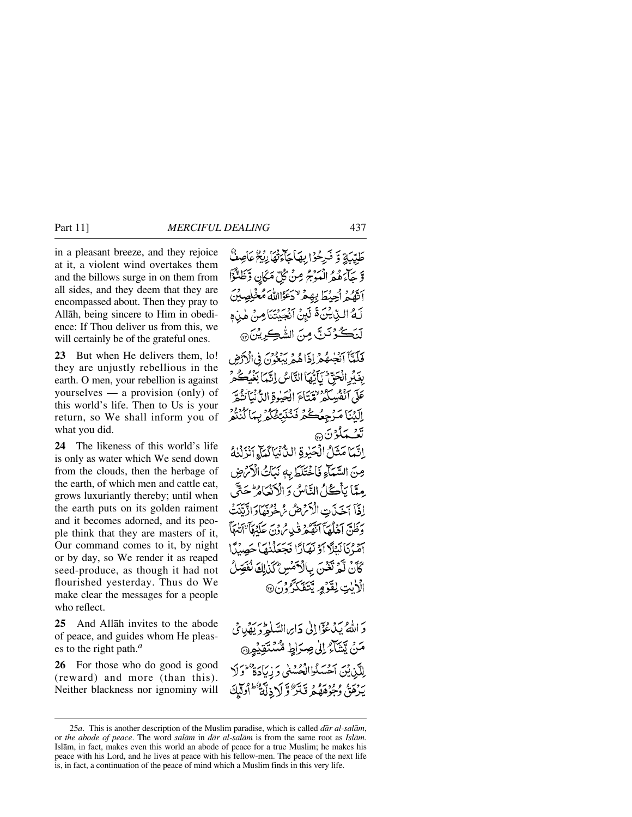in a pleasant breeze, and they rejoice at it, a violent wind overtakes them and the billows surge in on them from all sides, and they deem that they are encompassed about. Then they pray to Allåh, being sincere to Him in obedience: If Thou deliver us from this, we will certainly be of the grateful ones.

**23** But when He delivers them, lo! they are unjustly rebellious in the earth. O men, your rebellion is against yourselves — a provision (only) of this world's life. Then to Us is your return, so We shall inform you of what you did.

**24** The likeness of this world's life is only as water which We send down from the clouds, then the herbage of the earth, of which men and cattle eat, grows luxuriantly thereby; until when the earth puts on its golden raiment and it becomes adorned, and its people think that they are masters of it, Our command comes to it, by night or by day, so We render it as reaped seed-produce, as though it had not flourished yesterday. Thus do We make clear the messages for a people who reflect.

**25** And Allåh invites to the abode of peace, and guides whom He pleases to the right path.*<sup>a</sup>*

**26** For those who do good is good (reward) and more (than this). Neither blackness nor ignominy will

طَبِّيَةِ وَ فَبِرْحُوْا بِهَاجَاءَتْهَارِيْجُ عَاصِفٌ وَّجِآءَهُمُّ الْمَوْجُ مِنْ كُلِّ مَكَانٍ وَّظَنُّؤَا أَتَّهُمُّ أُحِيۡطَ بِهِمۡ لاَحۡكَٰٓ اللَّهَ مُخۡلِصِيۡنَ لَهُ الَّذِيْنَ ۚ لَئِنْ أَنْجَيْتَنَا مِنْ هٰذِهِ لَنَكُوْنَنِّ مِنَ الشَّكِرِيْنَ۞ فَلَعَّبَآ أَنْضِهُمْ إِذَاهُمْ يَهْعِوْنَ فِي الْأَدْضِ بِغَدْ الْحَقّْ يَأْتُمَا النَّاسُ إِنَّهَا بَغَيْكُمْ عَلَى أَنْفُسِكُمُ تَقْتَاءَ الْجَيْوةِ الدَُّنْ أَنْتُقُّ إِلَيْنَا مَرْجِعُكُمْ فَنُنْبَتّْنَكُمْ بِمَا كُنْنُمْ تېخىنى ھە إِنَّمَا مَثَلُ الْحَيْرِةِ الثَّانِيَا كَمَاءِ أَنْزَلْنَاءُ صِنَ السَّمَاءِ فَاخْتَلَطَ بِهِ نَبَاتُ الْأَمْ ضِ مِيّاً يَأْكُلُ النَّاسُ وَ الْأَنْعَامُرَ حَتَّى إِذَآ ٱخَذَىٰتِ الْأَمْرَضُ مُ خُرُدَهَآ وَادَّتِيۡتَ وَظَنَّ أَهْلَهَآ ٱتَّقَّعْرَ فَيْهِ مُرُدْنَ عَلَيْهَآ ۚ اتَّنَهَآ آمْرُنَانِيَلَا آدْنَهَارًا فَجَعَلْنِهَا حَصِيدًا كَانْ لَّمَرْ نَغْنَ بِالْأَمْسِ كَذِٰلِكَ نُفَصِّلُ الْأَيْتِ لِقَوْمٍ يَتَفَكَّرُوْنَ@

دَ اللَّهُ بِيَدْعُوۡٓالِلَّٰ دَارِ السَّلَٰمِ ۖ دَيۡهُدِ مِّيۡ مَنْ يَشَاءُ إِلَىٰ صِرَاطٍ مُّسْتَقِيْهِنَّ لِلَّبْنِيْنَ أَحْسَنُواالْحُسْنَى وَ زِيَادَةٌ ۖ وَلَا بَدْعَةٍ وَمُؤْمَّدُهُ وَيَتَرَّكَ لَا ذِلَّهَ الْمَطَلِّكَ

<sup>25</sup>*a*. This is another description of the Muslim paradise, which is called *dår al-salåm*, or *the abode of peace*. The word *salåm* in *dår al-salåm* is from the same root as *Islåm*. Islåm, in fact, makes even this world an abode of peace for a true Muslim; he makes his peace with his Lord, and he lives at peace with his fellow-men. The peace of the next life is, in fact, a continuation of the peace of mind which a Muslim finds in this very life.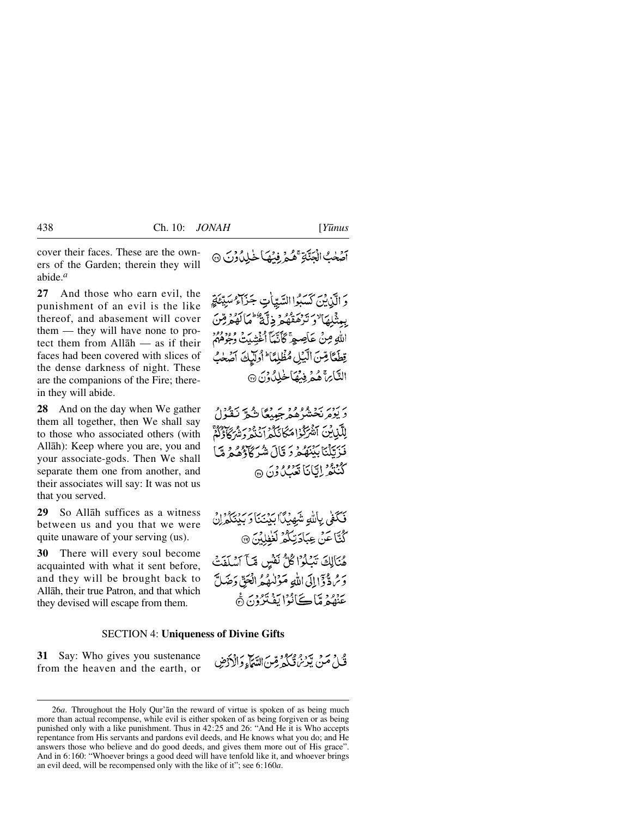cover their faces. These are the owners of the Garden; therein they will abide.*<sup>a</sup>*

**27** And those who earn evil, the punishment of an evil is the like thereof, and abasement will cover them — they will have none to protect them from Allåh — as if their faces had been covered with slices of the dense darkness of night. These are the companions of the Fire; therein they will abide.

**28** And on the day when We gather them all together, then We shall say to those who associated others (with Allåh): Keep where you are, you and your associate-gods. Then We shall separate them one from another, and their associates will say: It was not us that you served.

**29** So Allåh suffices as a witness between us and you that we were quite unaware of your serving (us).

**30** There will every soul become acquainted with what it sent before, and they will be brought back to Allåh, their true Patron, and that which they devised will escape from them.

آصَلَٰبُ الْجَنَّاةِ عَمَّمَ فِيْهَا خَلِلٌ وُنَ ۞

وَ الَّيْنِينَ كَسَبُوا السَّبِّبَاٰتِ جَزَاءٌ سَبِيَّتَةٍ بِعِنْبِلِهَا ۚ وَ تَرْهَقُهُ مِ ذِلِّيٌّ ۚ مَا لَهُمْ مِّنَ اللهِ مِنْ عَاصِمٍ ۚ كَأَنَّمَآ أُغۡشِيتُ وُجُوۡهُمۡمُ تِطَعًا قِسَ الَّبِيْلِ مُظْلِمًا الْوَلَيْكَ آصَحْبُ التَّابِرَةَ هُمْهِ فِيهِمَاخْلِدُونَ @

ىر بېزىر ئېخشگە ھەرىجىيىغا شەر ئىقتۇل لِلَّكْنِ لَنَّهْرَكُوْاهُكَانَكُمْ أَنْنَهُ دَيْئُهُمْ أَوْلَٰهُمْ أَن فَزَكَلْنَا بَيْنَهُمْ وَ قَالَ شُرَكَاؤُهُمْ مَّا ڭ دەر لېڭانا <del>ئې</del>رورون ھ

فَكَفَى بِاللَّهِ شَهِيْدًا بِيَنْنَا وَبِيْنَكُمْرِنَ َ كُتَّا عَنْ عِبَادَتِكُمُّ لَغْفِلِيْنَ ۞ هُنَالِكَ تَبْلُوْا كُلُّ نَفْسٍ مِّآ آسْلَفَتْ وَسُرٌّ ذَإِإِلَىَ اللَّهِ مَؤْلَمُهُمُ الْعَقِّ دَصَلَّ عَنْفُهُ مَّاكَيَانُوْا يَفْتَرُوْنَ ۞

### SECTION 4: **Uniqueness of Divine Gifts**

**31** Say: Who gives you sustenance from the heaven and the earth, or

فَكِيلٍ مَنْ يَوْمِ مِجْرِكِمٍ قِينَ الدِّيَاءِ وَالْأَدْضِ

<sup>26</sup>*a*. Throughout the Holy Qur'ån the reward of virtue is spoken of as being much more than actual recompense, while evil is either spoken of as being forgiven or as being punished only with a like punishment. Thus in 42:25 and 26: "And He it is Who accepts repentance from His servants and pardons evil deeds, and He knows what you do; and He answers those who believe and do good deeds, and gives them more out of His grace". And in 6:160: "Whoever brings a good deed will have tenfold like it, and whoever brings an evil deed, will be recompensed only with the like of it"; see 6:160*a*.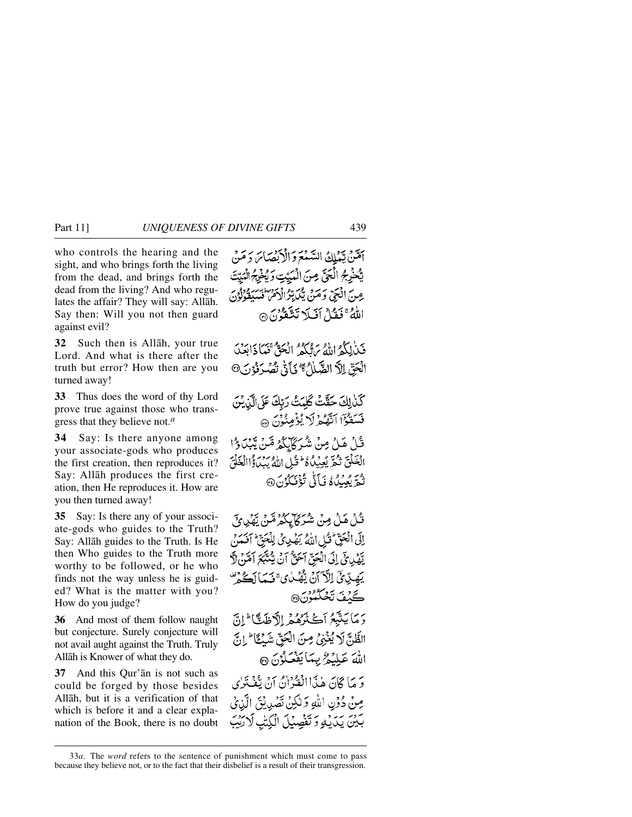who controls the hearing and the sight, and who brings forth the living from the dead, and brings forth the dead from the living? And who regulates the affair? They will say: Allåh. Say then: Will you not then guard against evil?

**32** Such then is Allåh, your true Lord. And what is there after the truth but error? How then are you turned away!

**33** Thus does the word of thy Lord prove true against those who transgress that they believe not.*<sup>a</sup>*

**34** Say: Is there anyone among your associate-gods who produces the first creation, then reproduces it? Say: Allåh produces the first creation, then He reproduces it. How are you then turned away!

**35** Say: Is there any of your associate-gods who guides to the Truth? Say: Allåh guides to the Truth. Is He then Who guides to the Truth more worthy to be followed, or he who finds not the way unless he is guided? What is the matter with you? How do you judge?

**36** And most of them follow naught but conjecture. Surely conjecture will not avail aught against the Truth. Truly Allåh is Knower of what they do.

**37** And this Qur'ån is not such as could be forged by those besides Allåh, but it is a verification of that which is before it and a clear explanation of the Book, there is no doubt

أَمَثَنَّ يَبْنَلِكُ السَّنْعَ وَالْأَبْصَائِ دَ مَنْ يَّحْرِجُ الْحَيِّ مِنَ الْمُدِّتِ وَيُخْرِجُ الْمَدِّتَ عِينَ الْبَيِّيِّ وَحَيْنَ يَكَدِّبُرُ الْأَمْرَ فَسَبَقَوْلُوْنَ اللهُ عَمَدُ إِنَّ لَا تَتَّقَوْنَ ۞

فَيْذٰلِكُمُ اللَّهُ بِرَوْكُمُ ۚ إِنْجَوٌّ فَبِيَا ذَابَعَيْ الْجَنِّ اِلاَّ الضَّلَابُ \* يَأَنَّى تُصُرَفُوْنَ @

كَذٰلِكَ حَقَّتْ كَلِمَتْ رَبِّكَ عَلَى الَّذِيْنَ فَسَقَوْاً اَنَّهُمْ لَا يُؤْمِنُونَ ۞ قُلْ هَلْ مِنْ شُرَكَآيِكُمْ مَّنْ يَّبْدَؤُا الْخَلْقَ تَكُّرَّ يُعِيدُ كَا وَتَيْلِ اللَّهُ يَبِدَأَوُا الْخَلْقَ تْيُوَّ يُعِيدُكُمْ فَبَأَنَّي تُؤْفَيَكُونَ۞

قُلْ هَلْ مِنْ شُرَكَا بِكُمْرَ مِّنْ يَّهْدِينَ إِلَى الْحَقِّ كُلِّ اللَّهُ يَهْدِئُ لِلْجَنِّ ۚ أَفَعَنَ يِّهُدِي فِي إِلَى الْحَقِّ آحَقُّ أَنْ يَتُنَبَّعَ أَهْنَ لَاَّ يَهِيْ يِّ اِلْآَ أَنْ يُّهْمُكْ يُ قَيِّمَا لَكُمْ تَ ڪَٽفَ ٽَڪُگُمُونَ® دَمَا بَنْتِهِمُ أَڪْثَرُهُمْ إِلاَّ ظَتَّا ۖ إِنَّ الظَّلِّ لَا يُغْنِيُّ مِنَ الْعَقِّ شَيْئًا ۖ إِنَّ اللَّهَ عَبِلَيْمٌ بِيمَا يَفْعَلُوْنَ ۞ وَ مَا كَانَ هٰذَا!لْفُرُانُ أَنْ تَفْتَزِي مِنْ دُوِّنِ اللَّهِ وَلٰكِنْ نَصْدِبُنَى الَّذِيْ بَيْنَ يَدَيْهِ وَتَفْصِيْلَ الْكِتْبِ لَارَيْبَ

<sup>33</sup>*a*. The *word* refers to the sentence of punishment which must come to pass because they believe not, or to the fact that their disbelief is a result of their transgression.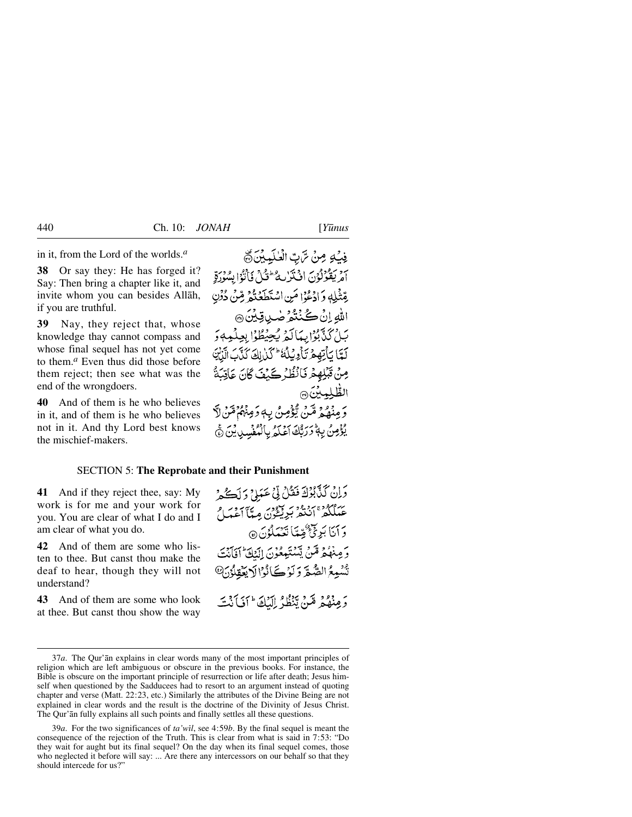in it, from the Lord of the worlds.*<sup>a</sup>*

**38** Or say they: He has forged it? Say: Then bring a chapter like it, and invite whom you can besides Allåh, if you are truthful.

**39** Nay, they reject that, whose knowledge thay cannot compass and whose final sequel has not yet come to them.*<sup>a</sup>* Even thus did those before them reject; then see what was the end of the wrongdoers.

**40** And of them is he who believes in it, and of them is he who believes not in it. And thy Lord best knows the mischief-makers.

فِيكِ مِنْ تَرَبِّ الْمَلْبِيْنَ تَ أَمْرِ يَقْوُلُوْنَ افْتَزَلْتُهُ ۖ وَلَٰٓ فَأَنُوَّا بِسُوْرَةِ بِقِثْلِهِ وَإِدْعُوْا مَنِ اسْتَطَعَنُوْ مِّنْ دُوْنِ اللهِ إِنْ كُنْتُمْرُ صٰبِ قِيْنَ ۞ بَيْنُ كَيْݣُوْلِيهَا كَمْ يُجِيُطُوْلِ بِعِلْمِهِ دَ لَّعًا يَأْتِهِمْ تَأْوِيْلُهُ ۚ كَنِ لِكَ كَذَّبَ الَّذِيْنَ مِنْ قَبْلِهِمْ نَانْظُرُكَيْفَ كَانَ عَاقِبَةٌ الظلمين وَمِنْهُمْ مِّنْ يُؤْمِنُ بِهِ وَمِنْهُمْ مِّنْ لَاَّ يُؤْمِنُ بِهِ تَرَبُّكَ آَعَلَمُ بِالْمُفْسِدِينَ ﴾

### SECTION 5: **The Reprobate and their Punishment**

**41** And if they reject thee, say: My work is for me and your work for you. You are clear of what I do and I am clear of what you do.

**42** And of them are some who listen to thee. But canst thou make the deaf to hear, though they will not understand?

**43** And of them are some who look at thee. But canst thou show the way وَإِنْ كَذَّبُوْكَ فَقُلْ لِّي عَمَلِيٍّ وَلَكُمْ بر مهود و دو د سود.<br>عبيلكفر انتقر بريغون ميا اعتما وَ أَنَا بَرِئٌ ثُقِّعًا تَعْمَلُوْنَ @ دَ مِنْهُمْ مِّينْ يَشْتَبِعِهُوْنَ الْمَلَّةُ ۚ إِفَانِهِۦ تَسْبِعُ الصَّعَّ وَلَوْكَ أَوْالَا يَعْقِلُوْنَ @ وَمِنْهُمْ مَّيْنُ تَنْظُلُ إِلَيْكَ ۖ أَنِّيَ أَنْتَ

39*a*. For the two significances of *ta'wßl*, see 4:59*b*. By the final sequel is meant the consequence of the rejection of the Truth. This is clear from what is said in 7:53: "Do they wait for aught but its final sequel? On the day when its final sequel comes, those who neglected it before will say: ... Are there any intercessors on our behalf so that they should intercede for us?"

<sup>37</sup>*a*. The Qur'ån explains in clear words many of the most important principles of religion which are left ambiguous or obscure in the previous books. For instance, the Bible is obscure on the important principle of resurrection or life after death; Jesus himself when questioned by the Sadducees had to resort to an argument instead of quoting chapter and verse (Matt. 22:23, etc.) Similarly the attributes of the Divine Being are not explained in clear words and the result is the doctrine of the Divinity of Jesus Christ. The Qur'ån fully explains all such points and finally settles all these questions.